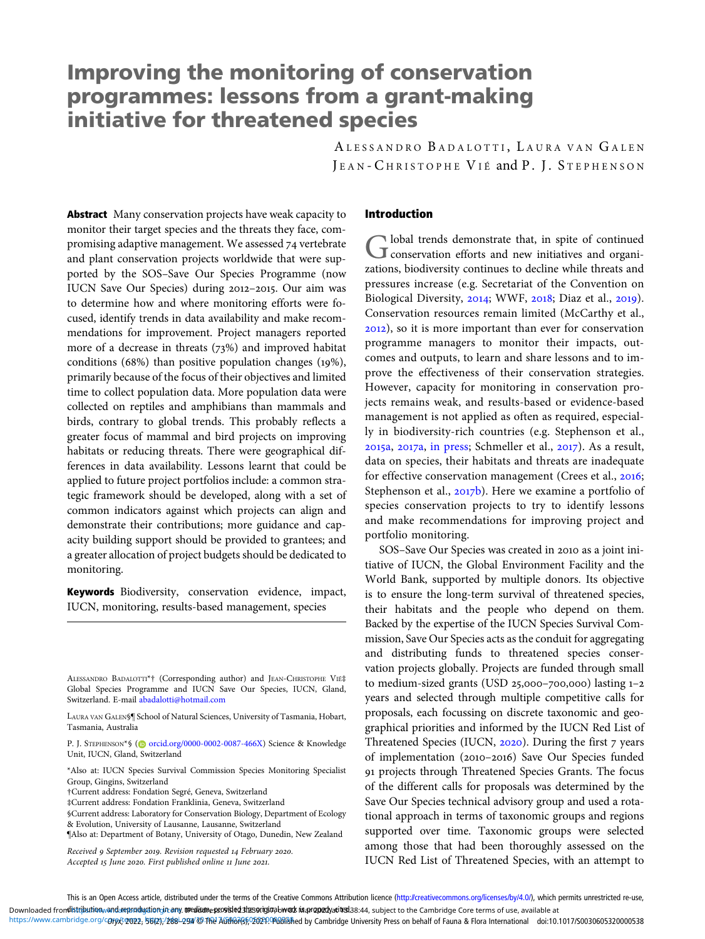# Improving the monitoring of conservation programmes: lessons from a grant-making initiative for threatened species

ALESSANDRO BADALOTTI, LAURA VAN GALEN JEAN-CHRISTOPHE VIÉ and P. J. STEPHENSON

Abstract Many conservation projects have weak capacity to monitor their target species and the threats they face, compromising adaptive management. We assessed 74 vertebrate and plant conservation projects worldwide that were supported by the SOS–Save Our Species Programme (now IUCN Save Our Species) during 2012-2015. Our aim was to determine how and where monitoring efforts were focused, identify trends in data availability and make recommendations for improvement. Project managers reported more of a decrease in threats  $(73%)$  and improved habitat conditions (68%) than positive population changes ( $19\%$ ), primarily because of the focus of their objectives and limited time to collect population data. More population data were collected on reptiles and amphibians than mammals and birds, contrary to global trends. This probably reflects a greater focus of mammal and bird projects on improving habitats or reducing threats. There were geographical differences in data availability. Lessons learnt that could be applied to future project portfolios include: a common strategic framework should be developed, along with a set of common indicators against which projects can align and demonstrate their contributions; more guidance and capacity building support should be provided to grantees; and a greater allocation of project budgets should be dedicated to monitoring.

Keywords Biodiversity, conservation evidence, impact, IUCN, monitoring, results-based management, species

§Current address: Laboratory for Conservation Biology, Department of Ecology & Evolution, University of Lausanne, Lausanne, Switzerland

### Introduction

Global trends demonstrate that, in spite of continued<br>conservation efforts and new initiatives and organizations, biodiversity continues to decline while threats and pressures increase (e.g. Secretariat of the Convention on Biological Diversity, 2014; WWF, 2018; Diaz et al., 2019). Conservation resources remain limited (McCarthy et al., ), so it is more important than ever for conservation programme managers to monitor their impacts, outcomes and outputs, to learn and share lessons and to improve the effectiveness of their conservation strategies. However, capacity for monitoring in conservation projects remains weak, and results-based or evidence-based management is not applied as often as required, especially in biodiversity-rich countries (e.g. Stephenson et al.,  $2015a$ ,  $2017a$ , [in press;](#page-6-0) Schmeller et al.,  $2017$ ). As a result, data on species, their habitats and threats are inadequate for effective conservation management (Crees et al., 2016; Stephenson et al.,  $2017b$ . Here we examine a portfolio of species conservation projects to try to identify lessons and make recommendations for improving project and portfolio monitoring.

SOS–Save Our Species was created in 2010 as a joint initiative of IUCN, the Global Environment Facility and the World Bank, supported by multiple donors. Its objective is to ensure the long-term survival of threatened species, their habitats and the people who depend on them. Backed by the expertise of the IUCN Species Survival Commission, Save Our Species acts as the conduit for aggregating and distributing funds to threatened species conservation projects globally. Projects are funded through small to medium-sized grants (USD 25,000-700,000) lasting  $1-2$ years and selected through multiple competitive calls for proposals, each focussing on discrete taxonomic and geographical priorities and informed by the IUCN Red List of Threatened Species (IUCN, 2020). During the first 7 years of implementation (2010-2016) Save Our Species funded projects through Threatened Species Grants. The focus of the different calls for proposals was determined by the Save Our Species technical advisory group and used a rotational approach in terms of taxonomic groups and regions supported over time. Taxonomic groups were selected among those that had been thoroughly assessed on the IUCN Red List of Threatened Species, with an attempt to

ALESSANDRO BADALOTTI\*† (Corresponding author) and JEAN-CHRISTOPHE VIÉ‡ Global Species Programme and IUCN Save Our Species, IUCN, Gland, Switzerland. E-mail [abadalotti@hotmail.com](mailto:abadalotti@hotmail.com)

LAURA VAN GALEN§¶ School of Natural Sciences, University of Tasmania, Hobart, Tasmania, Australia

P. J. STEPHENSON\*§ (@ [orcid.org/0000-0002-0087-466X](https://orcid.org/0000-0002-0087-466X)) Science & Knowledge Unit, IUCN, Gland, Switzerland

<sup>\*</sup>Also at: IUCN Species Survival Commission Species Monitoring Specialist Group, Gingins, Switzerland

<sup>†</sup>Current address: Fondation Segré, Geneva, Switzerland

<sup>‡</sup>Current address: Fondation Franklinia, Geneva, Switzerland

<sup>¶</sup>Also at: Department of Botany, University of Otago, Dunedin, New Zealand

Received 9 September 2019. Revision requested 14 February 2020. Accepted 15 June 2020. First published online 11 June 2021.

This is an Open Access article, distributed under the terms of the Creative Commons Attribution licence [\(http://creativecommons.org/licenses/by/4.0/\)](http://creativecommons.org/licenses/by/4.0/), which permits unrestricted re-use, Downloaded fron**distribution<sub>/</sub>vandareproduction.in: any. mediumesprokied shesoripinabwook Manropedyatitesi**38:44, subject to the Cambridge Core terms of use, available at

https://www.cambridge.org/corex/2022, 56(23;/288-294 @ The Author(s) OD 2021 @ Distage by Cambridge University Press on behalf of Fauna & Flora International doi:10.1017/50030605320000538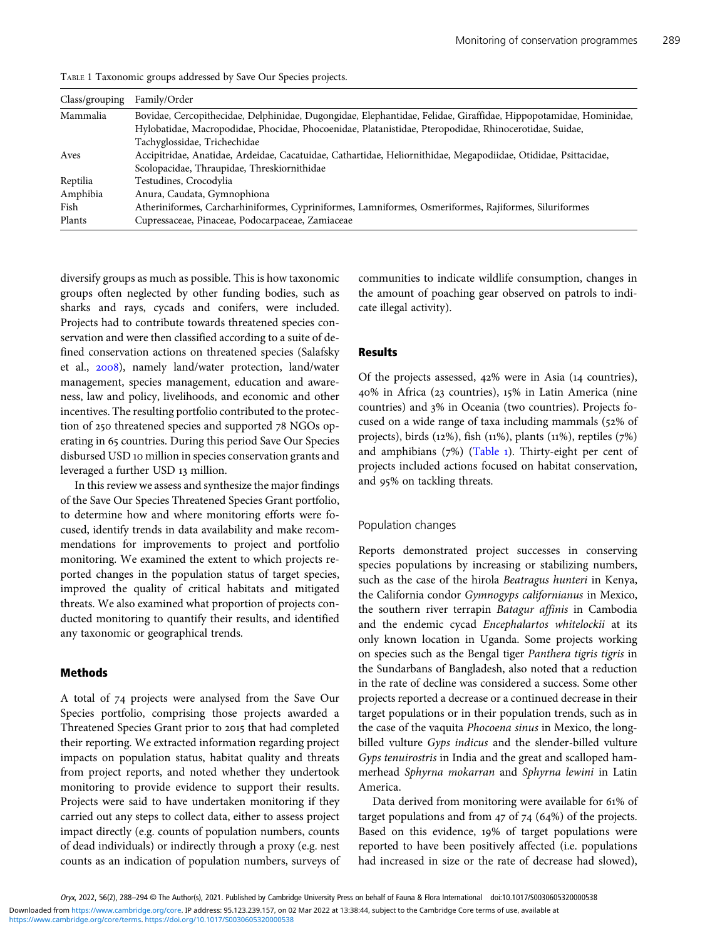| Class/grouping | Family/Order                                                                                                     |
|----------------|------------------------------------------------------------------------------------------------------------------|
| Mammalia       | Bovidae, Cercopithecidae, Delphinidae, Dugongidae, Elephantidae, Felidae, Giraffidae, Hippopotamidae, Hominidae, |
|                | Hylobatidae, Macropodidae, Phocidae, Phocoenidae, Platanistidae, Pteropodidae, Rhinocerotidae, Suidae,           |
|                | Tachyglossidae, Trichechidae                                                                                     |
| Aves           | Accipitridae, Anatidae, Ardeidae, Cacatuidae, Cathartidae, Heliornithidae, Megapodiidae, Otididae, Psittacidae,  |
|                | Scolopacidae, Thraupidae, Threskiornithidae                                                                      |
| Reptilia       | Testudines, Crocodylia                                                                                           |
| Amphibia       | Anura, Caudata, Gymnophiona                                                                                      |
| Fish           | Atheriniformes, Carcharhiniformes, Cypriniformes, Lamniformes, Osmeriformes, Rajiformes, Siluriformes            |
| Plants         | Cupressaceae, Pinaceae, Podocarpaceae, Zamiaceae                                                                 |
|                |                                                                                                                  |

TABLE 1 Taxonomic groups addressed by Save Our Species projects.

diversify groups as much as possible. This is how taxonomic groups often neglected by other funding bodies, such as sharks and rays, cycads and conifers, were included. Projects had to contribute towards threatened species conservation and were then classified according to a suite of defined conservation actions on threatened species (Salafsky et al., 2008), namely land/water protection, land/water management, species management, education and awareness, law and policy, livelihoods, and economic and other incentives. The resulting portfolio contributed to the protection of 250 threatened species and supported 78 NGOs operating in 65 countries. During this period Save Our Species disbursed USD 10 million in species conservation grants and leveraged a further USD 13 million.

In this review we assess and synthesize the major findings of the Save Our Species Threatened Species Grant portfolio, to determine how and where monitoring efforts were focused, identify trends in data availability and make recommendations for improvements to project and portfolio monitoring. We examined the extent to which projects reported changes in the population status of target species, improved the quality of critical habitats and mitigated threats. We also examined what proportion of projects conducted monitoring to quantify their results, and identified any taxonomic or geographical trends.

#### Methods

A total of 74 projects were analysed from the Save Our Species portfolio, comprising those projects awarded a Threatened Species Grant prior to 2015 that had completed their reporting. We extracted information regarding project impacts on population status, habitat quality and threats from project reports, and noted whether they undertook monitoring to provide evidence to support their results. Projects were said to have undertaken monitoring if they carried out any steps to collect data, either to assess project impact directly (e.g. counts of population numbers, counts of dead individuals) or indirectly through a proxy (e.g. nest counts as an indication of population numbers, surveys of communities to indicate wildlife consumption, changes in the amount of poaching gear observed on patrols to indicate illegal activity).

# Results

Of the projects assessed,  $42\%$  were in Asia (14 countries), 40% in Africa (23 countries), 15% in Latin America (nine countries) and 3% in Oceania (two countries). Projects focused on a wide range of taxa including mammals (52% of projects), birds ( $12\%$ ), fish ( $11\%$ ), plants ( $11\%$ ), reptiles ( $7\%$ ) and amphibians  $(7%)$  (Table 1). Thirty-eight per cent of projects included actions focused on habitat conservation, and 95% on tackling threats.

#### Population changes

Reports demonstrated project successes in conserving species populations by increasing or stabilizing numbers, such as the case of the hirola Beatragus hunteri in Kenya, the California condor Gymnogyps californianus in Mexico, the southern river terrapin Batagur affinis in Cambodia and the endemic cycad Encephalartos whitelockii at its only known location in Uganda. Some projects working on species such as the Bengal tiger Panthera tigris tigris in the Sundarbans of Bangladesh, also noted that a reduction in the rate of decline was considered a success. Some other projects reported a decrease or a continued decrease in their target populations or in their population trends, such as in the case of the vaquita Phocoena sinus in Mexico, the longbilled vulture Gyps indicus and the slender-billed vulture Gyps tenuirostris in India and the great and scalloped hammerhead Sphyrna mokarran and Sphyrna lewini in Latin America.

Data derived from monitoring were available for 61% of target populations and from  $47$  of  $74$  (64%) of the projects. Based on this evidence, 19% of target populations were reported to have been positively affected (i.e. populations had increased in size or the rate of decrease had slowed),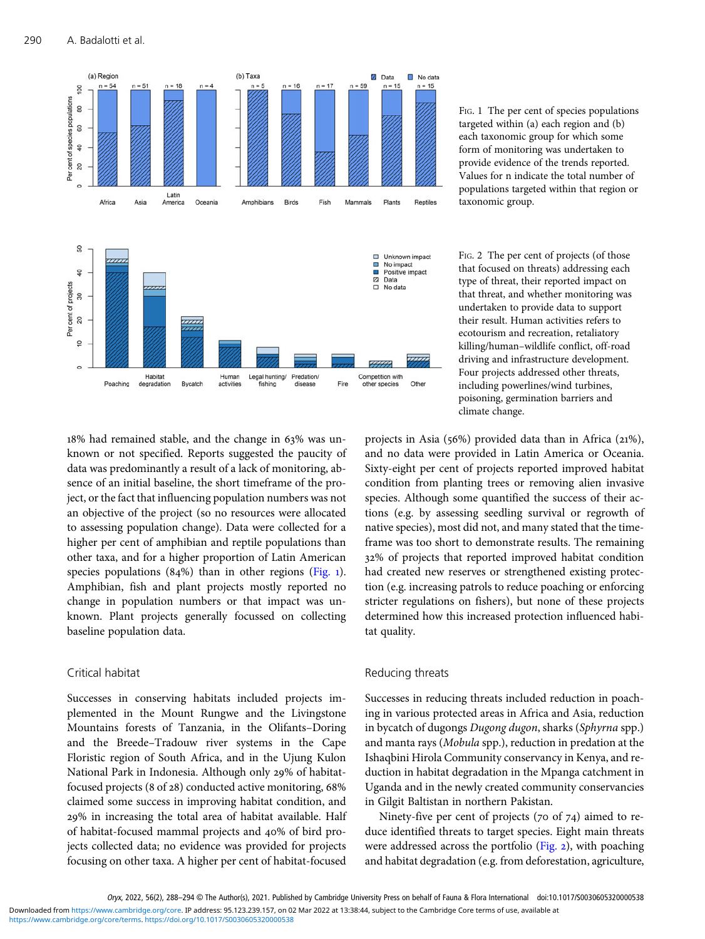

FIG. 1 The per cent of species populations targeted within (a) each region and (b) each taxonomic group for which some form of monitoring was undertaken to provide evidence of the trends reported. Values for n indicate the total number of populations targeted within that region or taxonomic group.

FIG. 2 The per cent of projects (of those that focused on threats) addressing each type of threat, their reported impact on that threat, and whether monitoring was undertaken to provide data to support their result. Human activities refers to ecotourism and recreation, retaliatory killing/human–wildlife conflict, off-road driving and infrastructure development. Four projects addressed other threats, including powerlines/wind turbines, poisoning, germination barriers and climate change.

18% had remained stable, and the change in 63% was unknown or not specified. Reports suggested the paucity of data was predominantly a result of a lack of monitoring, absence of an initial baseline, the short timeframe of the project, or the fact that influencing population numbers was not an objective of the project (so no resources were allocated to assessing population change). Data were collected for a higher per cent of amphibian and reptile populations than other taxa, and for a higher proportion of Latin American species populations  $(84%)$  than in other regions (Fig. 1). Amphibian, fish and plant projects mostly reported no change in population numbers or that impact was unknown. Plant projects generally focussed on collecting baseline population data.

# Critical habitat

Successes in conserving habitats included projects implemented in the Mount Rungwe and the Livingstone Mountains forests of Tanzania, in the Olifants–Doring and the Breede–Tradouw river systems in the Cape Floristic region of South Africa, and in the Ujung Kulon National Park in Indonesia. Although only 29% of habitatfocused projects ( $8$  of  $28$ ) conducted active monitoring,  $68\%$ claimed some success in improving habitat condition, and % in increasing the total area of habitat available. Half of habitat-focused mammal projects and 40% of bird projects collected data; no evidence was provided for projects focusing on other taxa. A higher per cent of habitat-focused

projects in Asia (56%) provided data than in Africa (21%), and no data were provided in Latin America or Oceania. Sixty-eight per cent of projects reported improved habitat condition from planting trees or removing alien invasive species. Although some quantified the success of their actions (e.g. by assessing seedling survival or regrowth of native species), most did not, and many stated that the timeframe was too short to demonstrate results. The remaining % of projects that reported improved habitat condition had created new reserves or strengthened existing protection (e.g. increasing patrols to reduce poaching or enforcing stricter regulations on fishers), but none of these projects determined how this increased protection influenced habitat quality.

# Reducing threats

Successes in reducing threats included reduction in poaching in various protected areas in Africa and Asia, reduction in bycatch of dugongs Dugong dugon, sharks (Sphyrna spp.) and manta rays (Mobula spp.), reduction in predation at the Ishaqbini Hirola Community conservancy in Kenya, and reduction in habitat degradation in the Mpanga catchment in Uganda and in the newly created community conservancies in Gilgit Baltistan in northern Pakistan.

Ninety-five per cent of projects ( $70$  of  $74$ ) aimed to reduce identified threats to target species. Eight main threats were addressed across the portfolio ( $Fig. 2$ ), with poaching and habitat degradation (e.g. from deforestation, agriculture,

Oryx, 2022, 56(2), 288-294 © The Author(s), 2021. Published by Cambridge University Press on behalf of Fauna & Flora International doi:10.1017/S0030605320000538 <https://www.cambridge.org/core/terms>.<https://doi.org/10.1017/S0030605320000538> Downloaded from<https://www.cambridge.org/core>. IP address: 95.123.239.157, on 02 Mar 2022 at 13:38:44, subject to the Cambridge Core terms of use, available at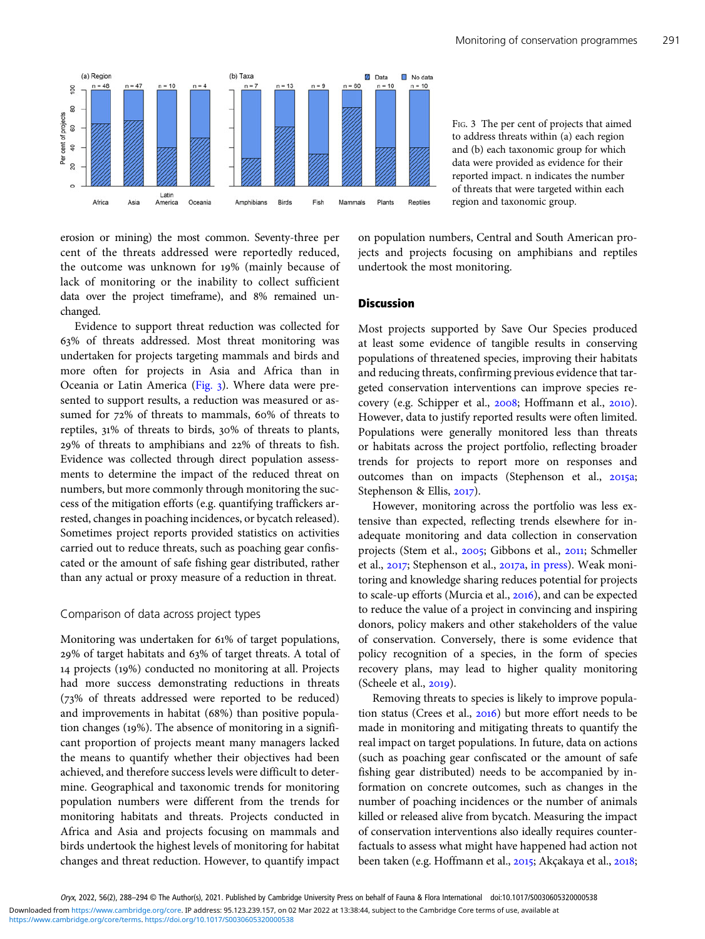erosion or mining) the most common. Seventy-three per cent of the threats addressed were reportedly reduced, the outcome was unknown for 19% (mainly because of lack of monitoring or the inability to collect sufficient data over the project timeframe), and 8% remained unchanged.

Evidence to support threat reduction was collected for % of threats addressed. Most threat monitoring was undertaken for projects targeting mammals and birds and more often for projects in Asia and Africa than in Oceania or Latin America (Fig. 3). Where data were presented to support results, a reduction was measured or assumed for 72% of threats to mammals, 60% of threats to reptiles, 31% of threats to birds, 30% of threats to plants, 29% of threats to amphibians and 22% of threats to fish. Evidence was collected through direct population assessments to determine the impact of the reduced threat on numbers, but more commonly through monitoring the success of the mitigation efforts (e.g. quantifying traffickers arrested, changes in poaching incidences, or bycatch released). Sometimes project reports provided statistics on activities carried out to reduce threats, such as poaching gear confiscated or the amount of safe fishing gear distributed, rather than any actual or proxy measure of a reduction in threat.

### Comparison of data across project types

Monitoring was undertaken for 61% of target populations, 29% of target habitats and 63% of target threats. A total of 14 projects (19%) conducted no monitoring at all. Projects had more success demonstrating reductions in threats (73% of threats addressed were reported to be reduced) and improvements in habitat (68%) than positive population changes  $(19\%)$ . The absence of monitoring in a significant proportion of projects meant many managers lacked the means to quantify whether their objectives had been achieved, and therefore success levels were difficult to determine. Geographical and taxonomic trends for monitoring population numbers were different from the trends for monitoring habitats and threats. Projects conducted in Africa and Asia and projects focusing on mammals and birds undertook the highest levels of monitoring for habitat changes and threat reduction. However, to quantify impact on population numbers, Central and South American projects and projects focusing on amphibians and reptiles undertook the most monitoring.

#### **Discussion**

Most projects supported by Save Our Species produced at least some evidence of tangible results in conserving populations of threatened species, improving their habitats and reducing threats, confirming previous evidence that targeted conservation interventions can improve species recovery (e.g. Schipper et al., 2008; Hoffmann et al., 2010). However, data to justify reported results were often limited. Populations were generally monitored less than threats or habitats across the project portfolio, reflecting broader trends for projects to report more on responses and outcomes than on impacts (Stephenson et al., 2015a; Stephenson & Ellis, 2017).

However, monitoring across the portfolio was less extensive than expected, reflecting trends elsewhere for inadequate monitoring and data collection in conservation projects (Stem et al., 2005; Gibbons et al., 2011; Schmeller et al., 2017; Stephenson et al., 2017a, [in press\)](#page-6-0). Weak monitoring and knowledge sharing reduces potential for projects to scale-up efforts (Murcia et al., 2016), and can be expected to reduce the value of a project in convincing and inspiring donors, policy makers and other stakeholders of the value of conservation. Conversely, there is some evidence that policy recognition of a species, in the form of species recovery plans, may lead to higher quality monitoring (Scheele et al., 2019).

Removing threats to species is likely to improve population status (Crees et al.,  $2016$ ) but more effort needs to be made in monitoring and mitigating threats to quantify the real impact on target populations. In future, data on actions (such as poaching gear confiscated or the amount of safe fishing gear distributed) needs to be accompanied by information on concrete outcomes, such as changes in the number of poaching incidences or the number of animals killed or released alive from bycatch. Measuring the impact of conservation interventions also ideally requires counterfactuals to assess what might have happened had action not been taken (e.g. Hoffmann et al., 2015; Akçakaya et al., 2018;

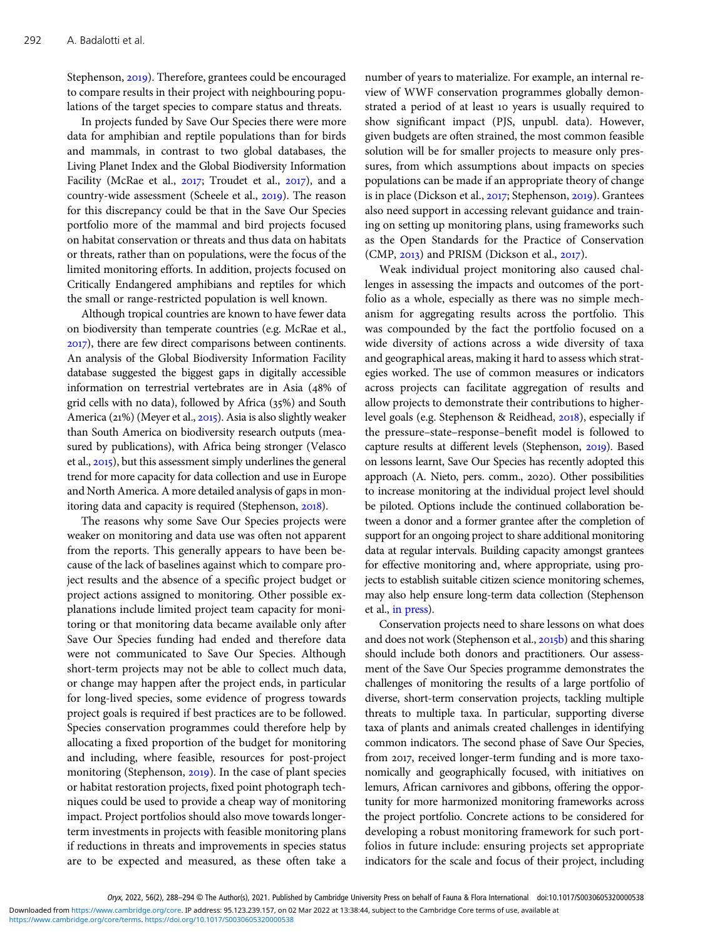Stephenson, 2019). Therefore, grantees could be encouraged to compare results in their project with neighbouring populations of the target species to compare status and threats.

In projects funded by Save Our Species there were more data for amphibian and reptile populations than for birds and mammals, in contrast to two global databases, the Living Planet Index and the Global Biodiversity Information Facility (McRae et al.,  $2017$ ; Troudet et al.,  $2017$ ), and a country-wide assessment (Scheele et al., 2019). The reason for this discrepancy could be that in the Save Our Species portfolio more of the mammal and bird projects focused on habitat conservation or threats and thus data on habitats or threats, rather than on populations, were the focus of the limited monitoring efforts. In addition, projects focused on Critically Endangered amphibians and reptiles for which the small or range-restricted population is well known.

Although tropical countries are known to have fewer data on biodiversity than temperate countries (e.g. McRae et al., ), there are few direct comparisons between continents. An analysis of the Global Biodiversity Information Facility database suggested the biggest gaps in digitally accessible information on terrestrial vertebrates are in Asia (48% of grid cells with no data), followed by Africa  $(35%)$  and South America ( $21\%$ ) (Meyer et al.,  $2015$ ). Asia is also slightly weaker than South America on biodiversity research outputs (measured by publications), with Africa being stronger (Velasco et al., 2015), but this assessment simply underlines the general trend for more capacity for data collection and use in Europe and North America. A more detailed analysis of gaps in monitoring data and capacity is required (Stephenson, 2018).

The reasons why some Save Our Species projects were weaker on monitoring and data use was often not apparent from the reports. This generally appears to have been because of the lack of baselines against which to compare project results and the absence of a specific project budget or project actions assigned to monitoring. Other possible explanations include limited project team capacity for monitoring or that monitoring data became available only after Save Our Species funding had ended and therefore data were not communicated to Save Our Species. Although short-term projects may not be able to collect much data, or change may happen after the project ends, in particular for long-lived species, some evidence of progress towards project goals is required if best practices are to be followed. Species conservation programmes could therefore help by allocating a fixed proportion of the budget for monitoring and including, where feasible, resources for post-project monitoring (Stephenson, 2019). In the case of plant species or habitat restoration projects, fixed point photograph techniques could be used to provide a cheap way of monitoring impact. Project portfolios should also move towards longerterm investments in projects with feasible monitoring plans if reductions in threats and improvements in species status are to be expected and measured, as these often take a

number of years to materialize. For example, an internal review of WWF conservation programmes globally demonstrated a period of at least 10 years is usually required to show significant impact (PJS, unpubl. data). However, given budgets are often strained, the most common feasible solution will be for smaller projects to measure only pressures, from which assumptions about impacts on species populations can be made if an appropriate theory of change is in place (Dickson et al., 2017; Stephenson, 2019). Grantees also need support in accessing relevant guidance and training on setting up monitoring plans, using frameworks such as the Open Standards for the Practice of Conservation  $(CMP, 2013)$  and PRISM (Dickson et al., 2017).

Weak individual project monitoring also caused challenges in assessing the impacts and outcomes of the portfolio as a whole, especially as there was no simple mechanism for aggregating results across the portfolio. This was compounded by the fact the portfolio focused on a wide diversity of actions across a wide diversity of taxa and geographical areas, making it hard to assess which strategies worked. The use of common measures or indicators across projects can facilitate aggregation of results and allow projects to demonstrate their contributions to higherlevel goals (e.g. Stephenson & Reidhead, 2018), especially if the pressure–state–response–benefit model is followed to capture results at different levels (Stephenson, 2019). Based on lessons learnt, Save Our Species has recently adopted this approach (A. Nieto, pers. comm., 2020). Other possibilities to increase monitoring at the individual project level should be piloted. Options include the continued collaboration between a donor and a former grantee after the completion of support for an ongoing project to share additional monitoring data at regular intervals. Building capacity amongst grantees for effective monitoring and, where appropriate, using projects to establish suitable citizen science monitoring schemes, may also help ensure long-term data collection (Stephenson et al., [in press\)](#page-6-0).

Conservation projects need to share lessons on what does and does not work (Stephenson et al., 2015b) and this sharing should include both donors and practitioners. Our assessment of the Save Our Species programme demonstrates the challenges of monitoring the results of a large portfolio of diverse, short-term conservation projects, tackling multiple threats to multiple taxa. In particular, supporting diverse taxa of plants and animals created challenges in identifying common indicators. The second phase of Save Our Species, from 2017, received longer-term funding and is more taxonomically and geographically focused, with initiatives on lemurs, African carnivores and gibbons, offering the opportunity for more harmonized monitoring frameworks across the project portfolio. Concrete actions to be considered for developing a robust monitoring framework for such portfolios in future include: ensuring projects set appropriate indicators for the scale and focus of their project, including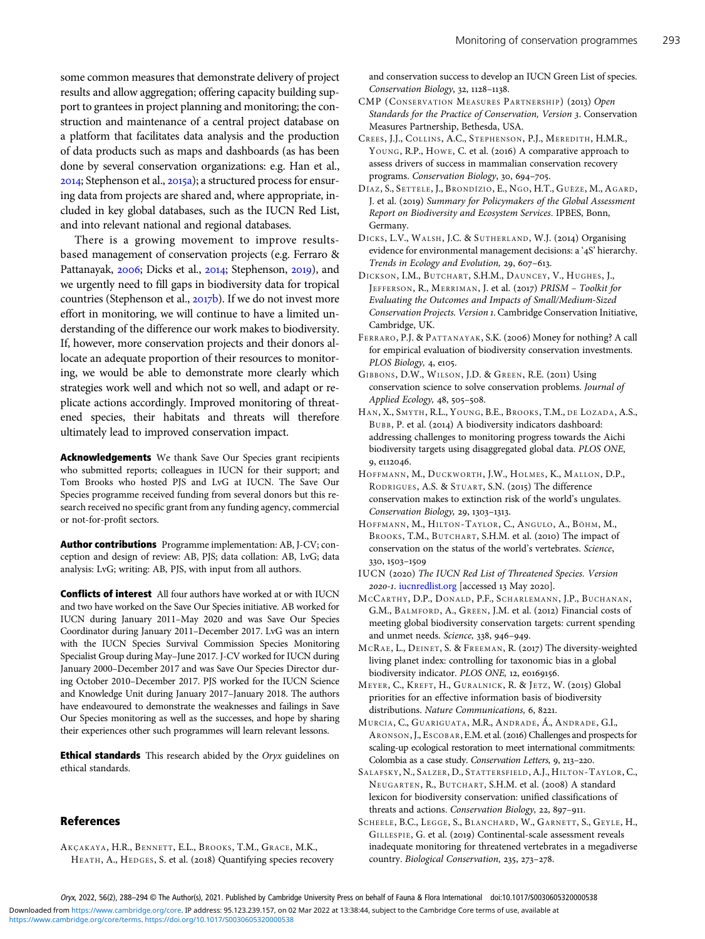<span id="page-5-0"></span>struction and maintenance of a central project database on a platform that facilitates data analysis and the production of data products such as maps and dashboards (as has been done by several conservation organizations: e.g. Han et al., 2014; Stephenson et al., 2015a); a structured process for ensuring data from projects are shared and, where appropriate, included in key global databases, such as the IUCN Red List, and into relevant national and regional databases.

There is a growing movement to improve resultsbased management of conservation projects (e.g. Ferraro & Pattanayak, 2006; Dicks et al., 2014; Stephenson, 2019), and we urgently need to fill gaps in biodiversity data for tropical countries (Stephenson et al., 2017b). If we do not invest more effort in monitoring, we will continue to have a limited understanding of the difference our work makes to biodiversity. If, however, more conservation projects and their donors allocate an adequate proportion of their resources to monitoring, we would be able to demonstrate more clearly which strategies work well and which not so well, and adapt or replicate actions accordingly. Improved monitoring of threatened species, their habitats and threats will therefore ultimately lead to improved conservation impact.

Acknowledgements We thank Save Our Species grant recipients who submitted reports; colleagues in IUCN for their support; and Tom Brooks who hosted PJS and LvG at IUCN. The Save Our Species programme received funding from several donors but this research received no specific grant from any funding agency, commercial or not-for-profit sectors.

Author contributions Programme implementation: AB, J-CV; conception and design of review: AB, PJS; data collation: AB, LvG; data analysis: LvG; writing: AB, PJS, with input from all authors.

**Conflicts of interest** All four authors have worked at or with IUCN and two have worked on the Save Our Species initiative. AB worked for IUCN during January 2011–May 2020 and was Save Our Species Coordinator during January 2011–December 2017. LvG was an intern with the IUCN Species Survival Commission Species Monitoring Specialist Group during May–June 2017. J-CV worked for IUCN during January 2000–December 2017 and was Save Our Species Director during October 2010–December 2017. PJS worked for the IUCN Science and Knowledge Unit during January 2017–January 2018. The authors have endeavoured to demonstrate the weaknesses and failings in Save Our Species monitoring as well as the successes, and hope by sharing their experiences other such programmes will learn relevant lessons.

**Ethical standards** This research abided by the Oryx guidelines on ethical standards.

# References

AKÇAKAYA, H.R., BENNETT, E.L., BROOKS, T.M., GRACE, M.K., HEATH, A., HEDGES, S. et al. (2018) Quantifying species recovery and conservation success to develop an IUCN Green List of species. Conservation Biology, 32, 1128-1138.

- CMP (CONSERVATION MEASURES PARTNERSHIP) (2013) Open Standards for the Practice of Conservation, Version 3. Conservation Measures Partnership, Bethesda, USA.
- CREES , J.J., COLLINS, A.C., STEPHENSON, P.J., MEREDITH, H.M.R., YOUNG, R.P., HOWE, C. et al. (2016) A comparative approach to assess drivers of success in mammalian conservation recovery programs. Conservation Biology, 30, 694-705.
- DÍAZ, S., SETTELE, J., BRONDÍZIO, E., NGO, H.T., GUÈZE, M., AGARD, J. et al. (2019) Summary for Policymakers of the Global Assessment Report on Biodiversity and Ecosystem Services. IPBES, Bonn, Germany.
- DICKS, L.V., WALSH, J.C. & SUTHERLAND, W.J. (2014) Organising evidence for environmental management decisions: a '4S' hierarchy. Trends in Ecology and Evolution, 29, 607-613.
- DICKSON, I.M., BUTCHART, S.H.M., DAUNCEY, V., HUGHES, J., JEFFERSON, R., MERRIMAN, J. et al. (2017) PRISM - Toolkit for Evaluating the Outcomes and Impacts of Small/Medium-Sized Conservation Projects. Version . Cambridge Conservation Initiative, Cambridge, UK.
- FERRARO, P.J. & PATTANAYAK, S.K. (2006) Money for nothing? A call for empirical evaluation of biodiversity conservation investments. PLOS Biology, 4, e105.
- GIBBONS, D.W., WILSON, J.D. & GREEN, R.E. (2011) Using conservation science to solve conservation problems. Journal of Applied Ecology, 48, 505-508.
- HAN, X., SMYTH, R.L., YOUNG, B.E., BROOKS, T.M., DE LOZADA, A.S., BUBB, P. et al. (2014) A biodiversity indicators dashboard: addressing challenges to monitoring progress towards the Aichi biodiversity targets using disaggregated global data. PLOS ONE, 9, e112046.
- HOFFMANN, M., DUCKWORTH, J.W., HOLMES, K., MALLON, D.P., RODRIGUES, A.S. & STUART, S.N. (2015) The difference conservation makes to extinction risk of the world's ungulates. Conservation Biology, 29, 1303-1313.
- HOFFMANN, M., HILTON-TAYLOR, C., ANGULO, A., BÖHM, M., BROOKS, T.M., BUTCHART, S.H.M. et al. (2010) The impact of conservation on the status of the world's vertebrates. Science,  $330, 1503 - 1509$
- IUCN (2020) The IUCN Red List of Threatened Species. Version 2020-1. [iucnredlist.org](http://iucnredlist.org) [accessed 13 May 2020].
- MCCARTHY, D.P., DONALD, P.F., SCHARLEMANN, J.P., BUCHANAN, G.M., BALMFORD, A., GREEN, J.M. et al. (2012) Financial costs of meeting global biodiversity conservation targets: current spending and unmet needs. Science, 338, 946-949.
- MCRAE, L., DEINET, S. & FREEMAN, R. (2017) The diversity-weighted living planet index: controlling for taxonomic bias in a global biodiversity indicator. PLOS ONE, 12, e0169156.
- MEYER, C., KREFT, H., GURALNICK, R. & JETZ, W. (2015) Global priorities for an effective information basis of biodiversity distributions. Nature Communications, 6, 8221.
- MURCIA, C., GUARIGUATA, M.R., ANDRADE, Á., ANDRADE, G.I., ARONSON, J., ESCOBAR, E.M. et al. (2016) Challenges and prospects for scaling-up ecological restoration to meet international commitments: Colombia as a case study. Conservation Letters, 9, 213-220.
- SALAFSKY, N., SALZER, D., STATTERSFIELD, A.J., HILTON-TAYLOR, C., NEUGARTEN, R., BUTCHART, S.H.M. et al. (2008) A standard lexicon for biodiversity conservation: unified classifications of threats and actions. Conservation Biology, 22, 897-911.
- SCHEELE, B.C., LEGGE, S., BLANCHARD, W., GARNETT, S., GEYLE, H., GILLESPIE, G. et al. (2019) Continental-scale assessment reveals inadequate monitoring for threatened vertebrates in a megadiverse country. Biological Conservation, 235, 273-278.